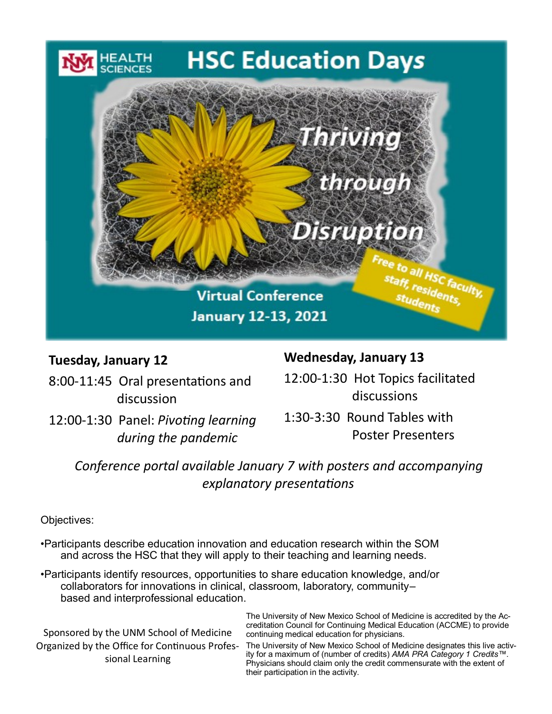# **HSC Education Days**



## **Tuesday, January 12**

8:00-11:45 Oral presentations and discussion

12:00-1:30 Panel: *Pivoting learning during the pandemic*

## **Wednesday, January 13**

12:00-1:30 Hot Topics facilitated discussions

1:30-3:30 Round Tables with Poster Presenters

*Conference portal available January 7 with posters and accompanying explanatory presentations* 

Objectives:

- •Participants describe education innovation and education research within the SOM and across the HSC that they will apply to their teaching and learning needs.
- •Participants identify resources, opportunities to share education knowledge, and/or collaborators for innovations in clinical, classroom, laboratory, community– based and interprofessional education.

Sponsored by the UNM School of Medicine Organized by the Office for Continuous Professional Learning

The University of New Mexico School of Medicine is accredited by the Accreditation Council for Continuing Medical Education (ACCME) to provide continuing medical education for physicians.

The University of New Mexico School of Medicine designates this live activity for a maximum of (number of credits) *AMA PRA Category 1 Credits™*. Physicians should claim only the credit commensurate with the extent of their participation in the activity.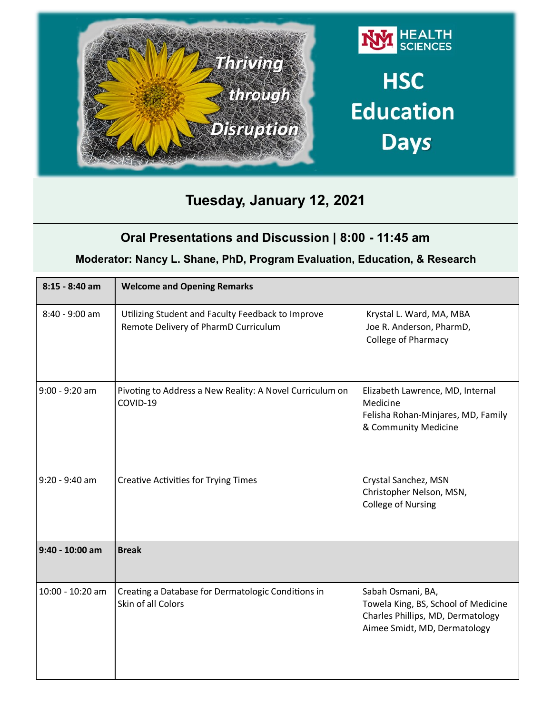

# **Tuesday, January 12, 2021**

## **Oral Presentations and Discussion | 8:00 - 11:45 am**

#### **Moderator: Nancy L. Shane, PhD, Program Evaluation, Education, & Research**

| $8:15 - 8:40$ am | <b>Welcome and Opening Remarks</b>                                                        |                                                                                                                               |
|------------------|-------------------------------------------------------------------------------------------|-------------------------------------------------------------------------------------------------------------------------------|
| $8:40 - 9:00$ am | Utilizing Student and Faculty Feedback to Improve<br>Remote Delivery of PharmD Curriculum | Krystal L. Ward, MA, MBA<br>Joe R. Anderson, PharmD,<br><b>College of Pharmacy</b>                                            |
| $9:00 - 9:20$ am | Pivoting to Address a New Reality: A Novel Curriculum on<br>COVID-19                      | Elizabeth Lawrence, MD, Internal<br>Medicine<br>Felisha Rohan-Minjares, MD, Family<br>& Community Medicine                    |
| $9:20 - 9:40$ am | <b>Creative Activities for Trying Times</b>                                               | Crystal Sanchez, MSN<br>Christopher Nelson, MSN,<br><b>College of Nursing</b>                                                 |
| 9:40 - 10:00 am  | <b>Break</b>                                                                              |                                                                                                                               |
| 10:00 - 10:20 am | Creating a Database for Dermatologic Conditions in<br>Skin of all Colors                  | Sabah Osmani, BA,<br>Towela King, BS, School of Medicine<br>Charles Phillips, MD, Dermatology<br>Aimee Smidt, MD, Dermatology |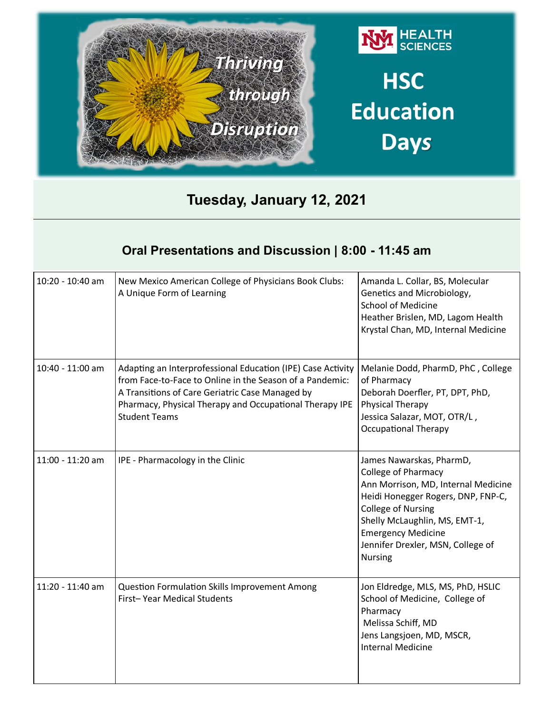

# **Tuesday, January 12, 2021**

## **Oral Presentations and Discussion | 8:00 - 11:45 am**

| 10:20 - 10:40 am | New Mexico American College of Physicians Book Clubs:<br>A Unique Form of Learning                                                                                                                                                                            | Amanda L. Collar, BS, Molecular<br>Genetics and Microbiology,<br><b>School of Medicine</b><br>Heather Brislen, MD, Lagom Health<br>Krystal Chan, MD, Internal Medicine                                                                                                                |
|------------------|---------------------------------------------------------------------------------------------------------------------------------------------------------------------------------------------------------------------------------------------------------------|---------------------------------------------------------------------------------------------------------------------------------------------------------------------------------------------------------------------------------------------------------------------------------------|
| 10:40 - 11:00 am | Adapting an Interprofessional Education (IPE) Case Activity<br>from Face-to-Face to Online in the Season of a Pandemic:<br>A Transitions of Care Geriatric Case Managed by<br>Pharmacy, Physical Therapy and Occupational Therapy IPE<br><b>Student Teams</b> | Melanie Dodd, PharmD, PhC, College<br>of Pharmacy<br>Deborah Doerfler, PT, DPT, PhD,<br>Physical Therapy<br>Jessica Salazar, MOT, OTR/L,<br><b>Occupational Therapy</b>                                                                                                               |
| 11:00 - 11:20 am | IPE - Pharmacology in the Clinic                                                                                                                                                                                                                              | James Nawarskas, PharmD,<br><b>College of Pharmacy</b><br>Ann Morrison, MD, Internal Medicine<br>Heidi Honegger Rogers, DNP, FNP-C,<br><b>College of Nursing</b><br>Shelly McLaughlin, MS, EMT-1,<br><b>Emergency Medicine</b><br>Jennifer Drexler, MSN, College of<br><b>Nursing</b> |
| 11:20 - 11:40 am | <b>Question Formulation Skills Improvement Among</b><br>First-Year Medical Students                                                                                                                                                                           | Jon Eldredge, MLS, MS, PhD, HSLIC<br>School of Medicine, College of<br>Pharmacy<br>Melissa Schiff, MD<br>Jens Langsjoen, MD, MSCR,<br><b>Internal Medicine</b>                                                                                                                        |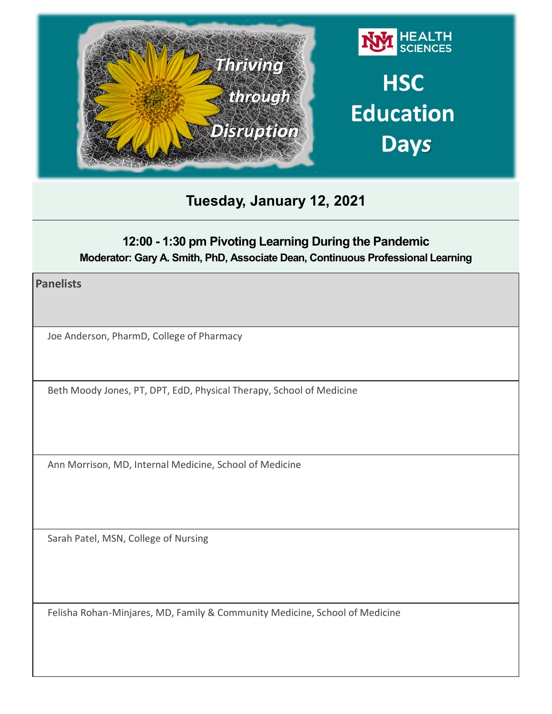

# **Tuesday, January 12, 2021**

## **12:00 - 1:30 pm Pivoting Learning During the Pandemic Moderator: Gary A. Smith, PhD, Associate Dean, Continuous Professional Learning**

**Panelists** 

Joe Anderson, PharmD, College of Pharmacy

Beth Moody Jones, PT, DPT, EdD, Physical Therapy, School of Medicine

Ann Morrison, MD, Internal Medicine, School of Medicine

Sarah Patel, MSN, College of Nursing

Felisha Rohan-Minjares, MD, Family & Community Medicine, School of Medicine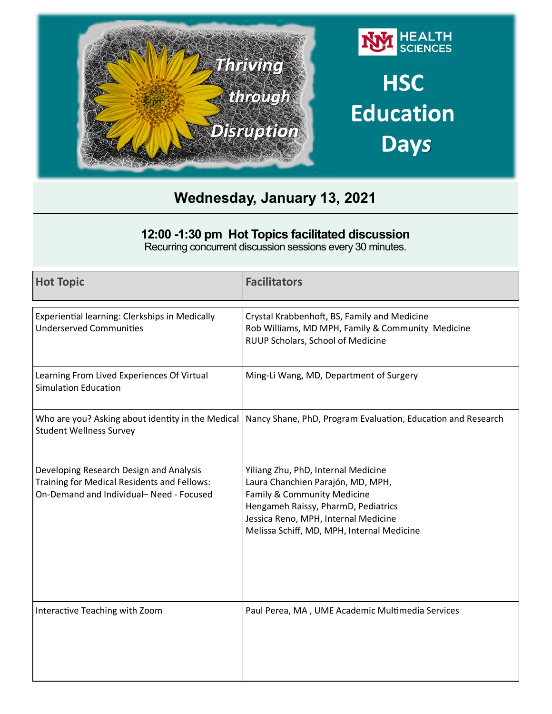

#### **12:00 -1:30 pm Hot Topics facilitated discussion**

Recurring concurrent discussion sessions every 30 minutes.

| <b>Hot Topic</b>                                                                                                                  | <b>Facilitators</b>                                                                                                                                                                                                                  |
|-----------------------------------------------------------------------------------------------------------------------------------|--------------------------------------------------------------------------------------------------------------------------------------------------------------------------------------------------------------------------------------|
| Experiential learning: Clerkships in Medically<br><b>Underserved Communities</b>                                                  | Crystal Krabbenhoft, BS, Family and Medicine<br>Rob Williams, MD MPH, Family & Community Medicine<br>RUUP Scholars, School of Medicine                                                                                               |
| Learning From Lived Experiences Of Virtual<br><b>Simulation Education</b>                                                         | Ming-Li Wang, MD, Department of Surgery                                                                                                                                                                                              |
| Who are you? Asking about identity in the Medical<br><b>Student Wellness Survey</b>                                               | Nancy Shane, PhD, Program Evaluation, Education and Research                                                                                                                                                                         |
| Developing Research Design and Analysis<br>Training for Medical Residents and Fellows:<br>On-Demand and Individual-Need - Focused | Yiliang Zhu, PhD, Internal Medicine<br>Laura Chanchien Parajón, MD, MPH,<br>Family & Community Medicine<br>Hengameh Raissy, PharmD, Pediatrics<br>Jessica Reno, MPH, Internal Medicine<br>Melissa Schiff, MD, MPH, Internal Medicine |
| Interactive Teaching with Zoom                                                                                                    | Paul Perea, MA, UME Academic Multimedia Services                                                                                                                                                                                     |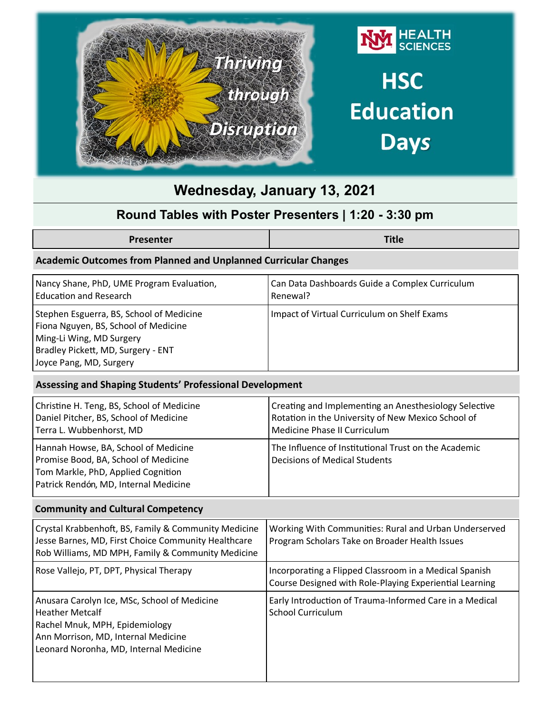

### **Round Tables with Poster Presenters | 1:20 - 3:30 pm**

|--|

#### **Academic Outcomes from Planned and Unplanned Curricular Changes**

| Nancy Shane, PhD, UME Program Evaluation,                                                                                                                                     | Can Data Dashboards Guide a Complex Curriculum |
|-------------------------------------------------------------------------------------------------------------------------------------------------------------------------------|------------------------------------------------|
| <b>Education and Research</b>                                                                                                                                                 | Renewal?                                       |
| Stephen Esguerra, BS, School of Medicine<br>Fiona Nguyen, BS, School of Medicine<br>Ming-Li Wing, MD Surgery<br>Bradley Pickett, MD, Surgery - ENT<br>Joyce Pang, MD, Surgery | Impact of Virtual Curriculum on Shelf Exams    |

#### **Assessing and Shaping Students' Professional Development**

| Christine H. Teng, BS, School of Medicine                                                                                                                   | Creating and Implementing an Anesthesiology Selective                                        |
|-------------------------------------------------------------------------------------------------------------------------------------------------------------|----------------------------------------------------------------------------------------------|
| Daniel Pitcher, BS, School of Medicine                                                                                                                      | Rotation in the University of New Mexico School of                                           |
| Terra L. Wubbenhorst, MD                                                                                                                                    | Medicine Phase II Curriculum                                                                 |
| Hannah Howse, BA, School of Medicine<br>Promise Bood, BA, School of Medicine<br>Tom Markle, PhD, Applied Cognition<br>Patrick Rendón, MD, Internal Medicine | The Influence of Institutional Trust on the Academic<br><b>Decisions of Medical Students</b> |

#### **Community and Cultural Competency**

| Crystal Krabbenhoft, BS, Family & Community Medicine<br>Jesse Barnes, MD, First Choice Community Healthcare<br>Rob Williams, MD MPH, Family & Community Medicine                          | Working With Communities: Rural and Urban Underserved<br>Program Scholars Take on Broader Health Issues           |
|-------------------------------------------------------------------------------------------------------------------------------------------------------------------------------------------|-------------------------------------------------------------------------------------------------------------------|
| Rose Vallejo, PT, DPT, Physical Therapy                                                                                                                                                   | Incorporating a Flipped Classroom in a Medical Spanish<br>Course Designed with Role-Playing Experiential Learning |
| Anusara Carolyn Ice, MSc, School of Medicine<br><b>Heather Metcalf</b><br>Rachel Mnuk, MPH, Epidemiology<br>Ann Morrison, MD, Internal Medicine<br>Leonard Noronha, MD, Internal Medicine | Early Introduction of Trauma-Informed Care in a Medical<br>School Curriculum                                      |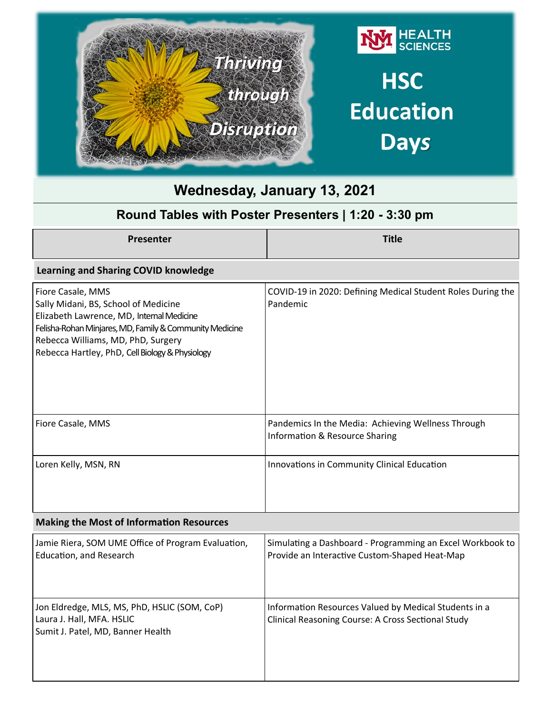

#### **Learning and Sharing COVID knowledge**

| Fiore Casale, MMS<br>Sally Midani, BS, School of Medicine<br>Elizabeth Lawrence, MD, Internal Medicine<br>Felisha-Rohan Minjares, MD, Family & Community Medicine<br>Rebecca Williams, MD, PhD, Surgery<br>Rebecca Hartley, PhD, Cell Biology & Physiology | COVID-19 in 2020: Defining Medical Student Roles During the<br>Pandemic                         |
|------------------------------------------------------------------------------------------------------------------------------------------------------------------------------------------------------------------------------------------------------------|-------------------------------------------------------------------------------------------------|
| Fiore Casale, MMS                                                                                                                                                                                                                                          | Pandemics In the Media: Achieving Wellness Through<br><b>Information &amp; Resource Sharing</b> |
| Loren Kelly, MSN, RN                                                                                                                                                                                                                                       | Innovations in Community Clinical Education                                                     |

#### **Making the Most of Information Resources**

| Jamie Riera, SOM UME Office of Program Evaluation,                                                             | Simulating a Dashboard - Programming an Excel Workbook to                                                   |
|----------------------------------------------------------------------------------------------------------------|-------------------------------------------------------------------------------------------------------------|
| Education, and Research                                                                                        | Provide an Interactive Custom-Shaped Heat-Map                                                               |
| Jon Eldredge, MLS, MS, PhD, HSLIC (SOM, CoP)<br>Laura J. Hall, MFA. HSLIC<br>Sumit J. Patel, MD, Banner Health | Information Resources Valued by Medical Students in a<br>Clinical Reasoning Course: A Cross Sectional Study |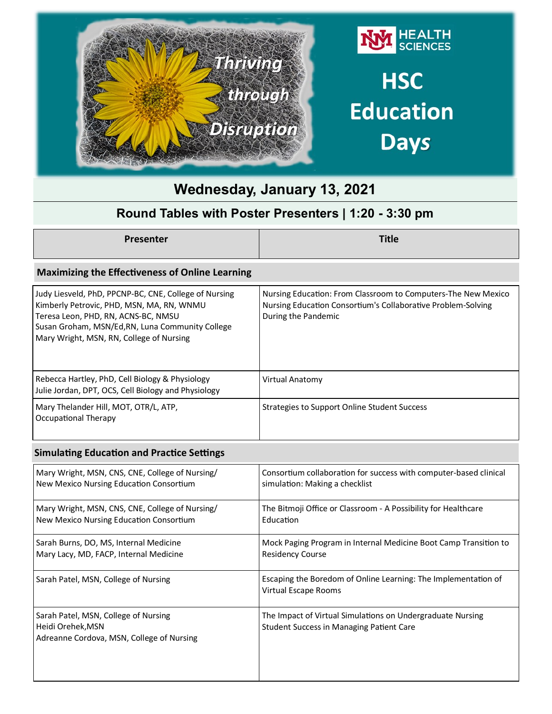

## **Round Tables with Poster Presenters | 1:20 - 3:30 pm**

**Presenter Title**

#### **Maximizing the Effectiveness of Online Learning**

| Judy Liesveld, PhD, PPCNP-BC, CNE, College of Nursing<br>Kimberly Petrovic, PHD, MSN, MA, RN, WNMU<br>Teresa Leon, PHD, RN, ACNS-BC, NMSU<br>Susan Groham, MSN/Ed, RN, Luna Community College<br>Mary Wright, MSN, RN, College of Nursing | Nursing Education: From Classroom to Computers-The New Mexico<br>Nursing Education Consortium's Collaborative Problem-Solving<br>During the Pandemic |
|-------------------------------------------------------------------------------------------------------------------------------------------------------------------------------------------------------------------------------------------|------------------------------------------------------------------------------------------------------------------------------------------------------|
| Rebecca Hartley, PhD, Cell Biology & Physiology<br>Julie Jordan, DPT, OCS, Cell Biology and Physiology                                                                                                                                    | Virtual Anatomy                                                                                                                                      |
| Mary Thelander Hill, MOT, OTR/L, ATP,<br>Occupational Therapy                                                                                                                                                                             | Strategies to Support Online Student Success                                                                                                         |

#### **Simulating Education and Practice Settings**

| Mary Wright, MSN, CNS, CNE, College of Nursing/                                                        | Consortium collaboration for success with computer-based clinical                                      |
|--------------------------------------------------------------------------------------------------------|--------------------------------------------------------------------------------------------------------|
| New Mexico Nursing Education Consortium                                                                | simulation: Making a checklist                                                                         |
| Mary Wright, MSN, CNS, CNE, College of Nursing/                                                        | The Bitmoji Office or Classroom - A Possibility for Healthcare                                         |
| New Mexico Nursing Education Consortium                                                                | Education                                                                                              |
| Sarah Burns, DO, MS, Internal Medicine                                                                 | Mock Paging Program in Internal Medicine Boot Camp Transition to                                       |
| Mary Lacy, MD, FACP, Internal Medicine                                                                 | <b>Residency Course</b>                                                                                |
| Sarah Patel, MSN, College of Nursing                                                                   | Escaping the Boredom of Online Learning: The Implementation of<br>Virtual Escape Rooms                 |
| Sarah Patel, MSN, College of Nursing<br>Heidi Orehek, MSN<br>Adreanne Cordova, MSN, College of Nursing | The Impact of Virtual Simulations on Undergraduate Nursing<br>Student Success in Managing Patient Care |